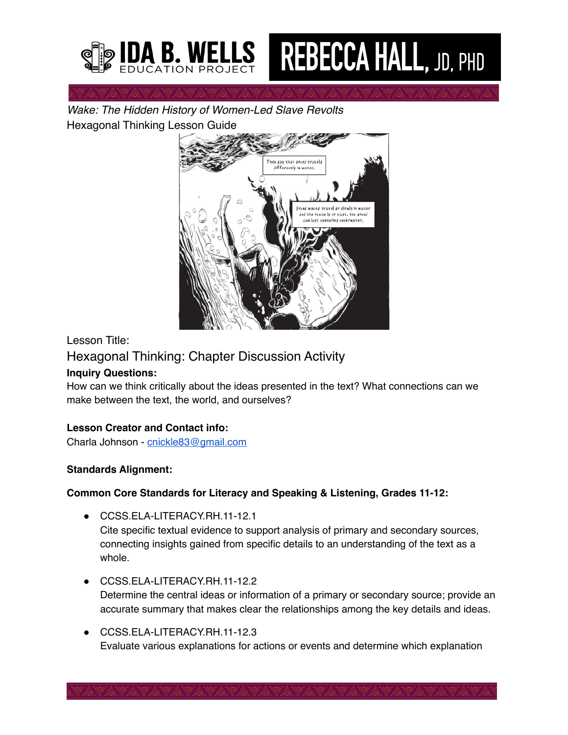

# **REBECCA HALL, JD, PHD**

*Wake: The Hidden History of Women-Led Slave Revolts* Hexagonal Thinking Lesson Guide



## Lesson Title:

## Hexagonal Thinking: Chapter Discussion Activity

## **Inquiry Questions:**

How can we think critically about the ideas presented in the text? What connections can we make between the text, the world, and ourselves?

## **Lesson Creator and Contact info:**

Charla Johnson - [cnickle83@gmail.com](mailto:cnickle83@gmail.com)

## **Standards Alignment:**

## **Common Core Standards for Literacy and Speaking & Listening, Grades 11-12:**

- CCSS.ELA-LITERACY.RH.11-12.1 Cite specific textual evidence to support analysis of primary and secondary sources, connecting insights gained from specific details to an understanding of the text as a whole.
- CCSS.ELA-LITERACY.RH.11-12.2 Determine the central ideas or information of a primary or secondary source; provide an accurate summary that makes clear the relationships among the key details and ideas.
- CCSS.ELA-LITERACY.RH.11-12.3 Evaluate various explanations for actions or events and determine which explanation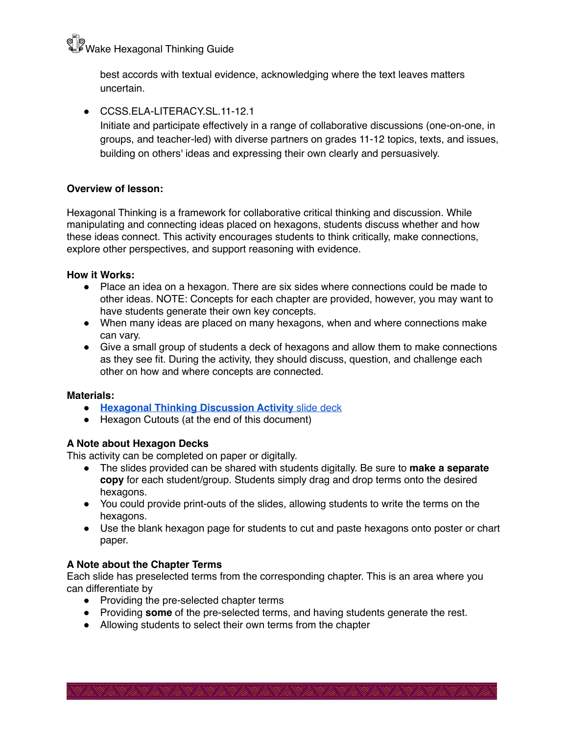ବ**୍ଧିତ**<br><sup>ଭୂ</sup>ା Wake Hexagonal Thinking Guide

best accords with textual evidence, acknowledging where the text leaves matters uncertain.

● CCSS FLA-LITERACY SL 11-12.1 Initiate and participate effectively in a range of collaborative discussions (one-on-one, in groups, and teacher-led) with diverse partners on grades 11-12 topics, texts, and issues, building on others' ideas and expressing their own clearly and persuasively.

#### **Overview of lesson:**

Hexagonal Thinking is a framework for collaborative critical thinking and discussion. While manipulating and connecting ideas placed on hexagons, students discuss whether and how these ideas connect. This activity encourages students to think critically, make connections, explore other perspectives, and support reasoning with evidence.

#### **How it Works:**

- Place an idea on a hexagon. There are six sides where connections could be made to other ideas. NOTE: Concepts for each chapter are provided, however, you may want to have students generate their own key concepts.
- When many ideas are placed on many hexagons, when and where connections make can vary.
- Give a small group of students a deck of hexagons and allow them to make connections as they see fit. During the activity, they should discuss, question, and challenge each other on how and where concepts are connected.

#### **Materials:**

- **● [Hexagonal Thinking Discussion Activity](https://secureservercdn.net/198.71.233.72/6jm.140.myftpupload.com/wp-content/uploads/2022/06/HexagonalThinking_ChapterDiscussionActivity.pptx)** [slide deck](https://secureservercdn.net/198.71.233.72/6jm.140.myftpupload.com/wp-content/uploads/2022/06/HexagonalThinking_ChapterDiscussionActivity.pptx)
- Hexagon Cutouts (at the end of this document)

#### **A Note about Hexagon Decks**

This activity can be completed on paper or digitally.

- The slides provided can be shared with students digitally. Be sure to **make a separate copy** for each student/group. Students simply drag and drop terms onto the desired hexagons.
- You could provide print-outs of the slides, allowing students to write the terms on the hexagons.
- Use the blank hexagon page for students to cut and paste hexagons onto poster or chart paper.

#### **A Note about the Chapter Terms**

Each slide has preselected terms from the corresponding chapter. This is an area where you can differentiate by

- Providing the pre-selected chapter terms
- Providing **some** of the pre-selected terms, and having students generate the rest.
- Allowing students to select their own terms from the chapter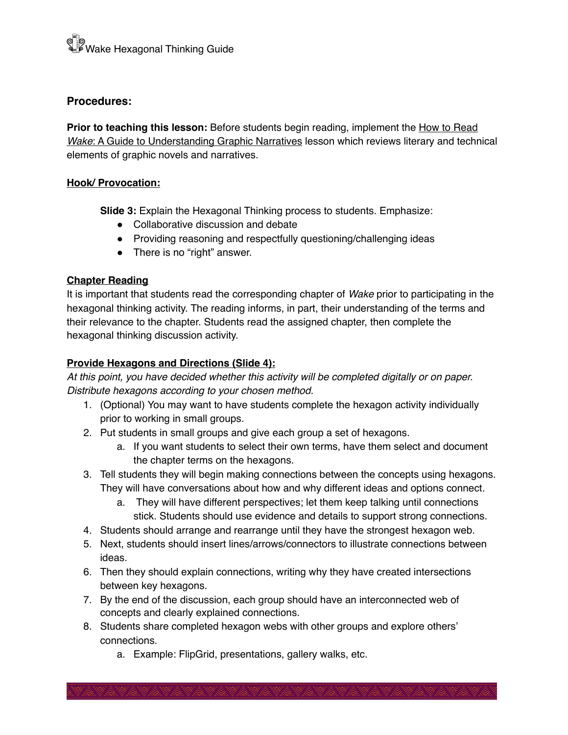## **Procedures:**

Prior to teaching this lesson: Before students begin reading, implement the How to Read *Wake*: A Guide to Understanding Graphic Narratives lesson which reviews literary and technical elements of graphic novels and narratives.

#### **Hook/ Provocation:**

**Slide 3:** Explain the Hexagonal Thinking process to students. Emphasize:

- Collaborative discussion and debate
- Providing reasoning and respectfully questioning/challenging ideas
- There is no "right" answer.

## **Chapter Reading**

It is important that students read the corresponding chapter of *Wake* prior to participating in the hexagonal thinking activity. The reading informs, in part, their understanding of the terms and their relevance to the chapter. Students read the assigned chapter, then complete the hexagonal thinking discussion activity.

## **Provide Hexagons and Directions (Slide 4):**

*At this point, you have decided whether this activity will be completed digitally or on paper. Distribute hexagons according to your chosen method.* 

- 1. (Optional) You may want to have students complete the hexagon activity individually prior to working in small groups.
- 2. Put students in small groups and give each group a set of hexagons.
	- a. If you want students to select their own terms, have them select and document the chapter terms on the hexagons.
- 3. Tell students they will begin making connections between the concepts using hexagons. They will have conversations about how and why different ideas and options connect.
	- a. They will have different perspectives; let them keep talking until connections stick. Students should use evidence and details to support strong connections.
- 4. Students should arrange and rearrange until they have the strongest hexagon web.
- 5. Next, students should insert lines/arrows/connectors to illustrate connections between ideas.
- 6. Then they should explain connections, writing why they have created intersections between key hexagons.
- 7. By the end of the discussion, each group should have an interconnected web of concepts and clearly explained connections.
- 8. Students share completed hexagon webs with other groups and explore others' connections.
	- a. Example: FlipGrid, presentations, gallery walks, etc.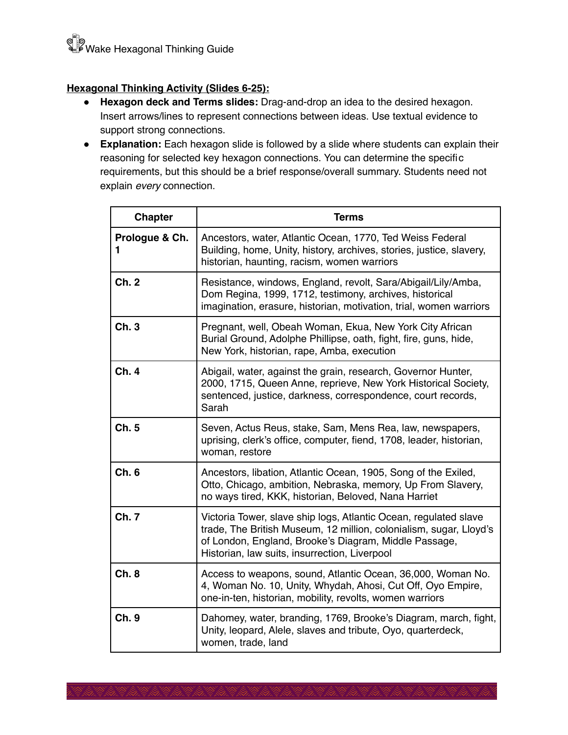## **Hexagonal Thinking Activity (Slides 6-25):**

- **● Hexagon deck and Terms slides:** Drag-and-drop an idea to the desired hexagon. Insert arrows/lines to represent connections between ideas. Use textual evidence to support strong connections.
- **Explanation:** Each hexagon slide is followed by a slide where students can explain their reasoning for selected key hexagon connections. You can determine the specific requirements, but this should be a brief response/overall summary. Students need not explain *every* connection.

| <b>Chapter</b>      | <b>Terms</b>                                                                                                                                                                                                                                     |
|---------------------|--------------------------------------------------------------------------------------------------------------------------------------------------------------------------------------------------------------------------------------------------|
| Prologue & Ch.<br>1 | Ancestors, water, Atlantic Ocean, 1770, Ted Weiss Federal<br>Building, home, Unity, history, archives, stories, justice, slavery,<br>historian, haunting, racism, women warriors                                                                 |
| Ch. 2               | Resistance, windows, England, revolt, Sara/Abigail/Lily/Amba,<br>Dom Regina, 1999, 1712, testimony, archives, historical<br>imagination, erasure, historian, motivation, trial, women warriors                                                   |
| Ch. 3               | Pregnant, well, Obeah Woman, Ekua, New York City African<br>Burial Ground, Adolphe Phillipse, oath, fight, fire, guns, hide,<br>New York, historian, rape, Amba, execution                                                                       |
| Ch. 4               | Abigail, water, against the grain, research, Governor Hunter,<br>2000, 1715, Queen Anne, reprieve, New York Historical Society,<br>sentenced, justice, darkness, correspondence, court records,<br>Sarah                                         |
| Ch. 5               | Seven, Actus Reus, stake, Sam, Mens Rea, law, newspapers,<br>uprising, clerk's office, computer, fiend, 1708, leader, historian,<br>woman, restore                                                                                               |
| Ch.6                | Ancestors, libation, Atlantic Ocean, 1905, Song of the Exiled,<br>Otto, Chicago, ambition, Nebraska, memory, Up From Slavery,<br>no ways tired, KKK, historian, Beloved, Nana Harriet                                                            |
| <b>Ch. 7</b>        | Victoria Tower, slave ship logs, Atlantic Ocean, regulated slave<br>trade, The British Museum, 12 million, colonialism, sugar, Lloyd's<br>of London, England, Brooke's Diagram, Middle Passage,<br>Historian, law suits, insurrection, Liverpool |
| Ch.8                | Access to weapons, sound, Atlantic Ocean, 36,000, Woman No.<br>4, Woman No. 10, Unity, Whydah, Ahosi, Cut Off, Oyo Empire,<br>one-in-ten, historian, mobility, revolts, women warriors                                                           |
| Ch. 9               | Dahomey, water, branding, 1769, Brooke's Diagram, march, fight,<br>Unity, leopard, Alele, slaves and tribute, Oyo, quarterdeck,<br>women, trade, land                                                                                            |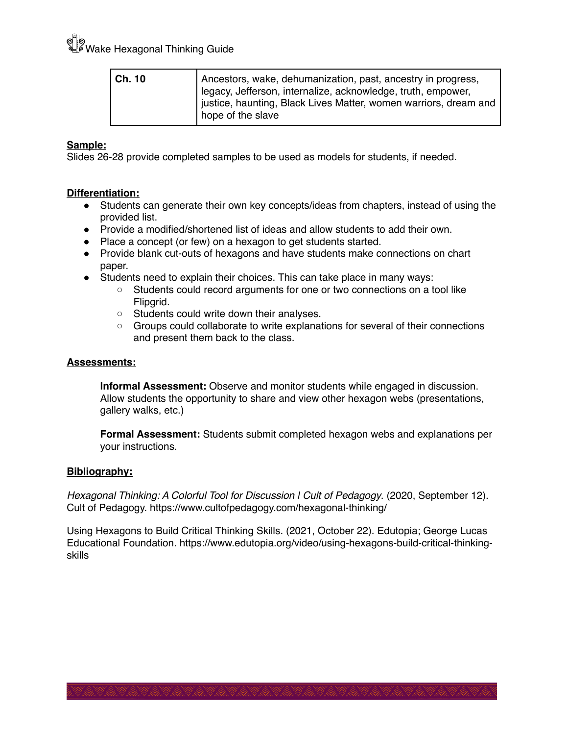ଢ**ି** |<br><sup>ଭ</sup>ାଁ Wake Hexagonal Thinking Guide

| l Ch. 10 | Ancestors, wake, dehumanization, past, ancestry in progress,                                                                     |
|----------|----------------------------------------------------------------------------------------------------------------------------------|
|          | legacy, Jefferson, internalize, acknowledge, truth, empower,<br>iustice, haunting, Black Lives Matter, women warriors, dream and |
|          | hope of the slave                                                                                                                |

#### **Sample:**

Slides 26-28 provide completed samples to be used as models for students, if needed.

#### **Differentiation:**

- Students can generate their own key concepts/ideas from chapters, instead of using the provided list.
- Provide a modified/shortened list of ideas and allow students to add their own.
- Place a concept (or few) on a hexagon to get students started.
- Provide blank cut-outs of hexagons and have students make connections on chart paper.
- Students need to explain their choices. This can take place in many ways:
	- Students could record arguments for one or two connections on a tool like Flipgrid.
	- Students could write down their analyses.
	- Groups could collaborate to write explanations for several of their connections and present them back to the class.

#### **Assessments:**

**Informal Assessment:** Observe and monitor students while engaged in discussion. Allow students the opportunity to share and view other hexagon webs (presentations, gallery walks, etc.)

**Formal Assessment:** Students submit completed hexagon webs and explanations per your instructions.

#### **Bibliography:**

*Hexagonal Thinking: A Colorful Tool for Discussion | Cult of Pedagogy*. (2020, September 12). Cult of Pedagogy. https://www.cultofpedagogy.com/hexagonal-thinking/

 Using Hexagons to Build Critical Thinking Skills. (2021, October 22). Edutopia; George Lucas Educational Foundation. https://www.edutopia.org/video/using-hexagons-build-critical-thinkingskills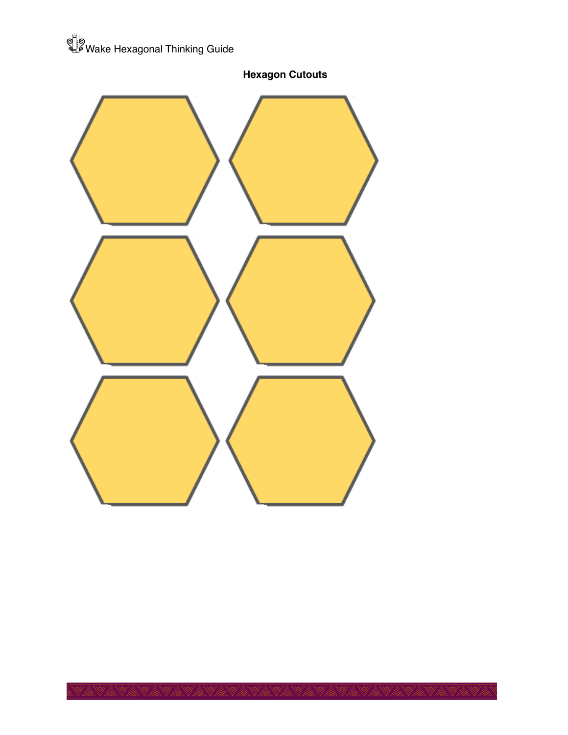



**Hexagon Cutouts**